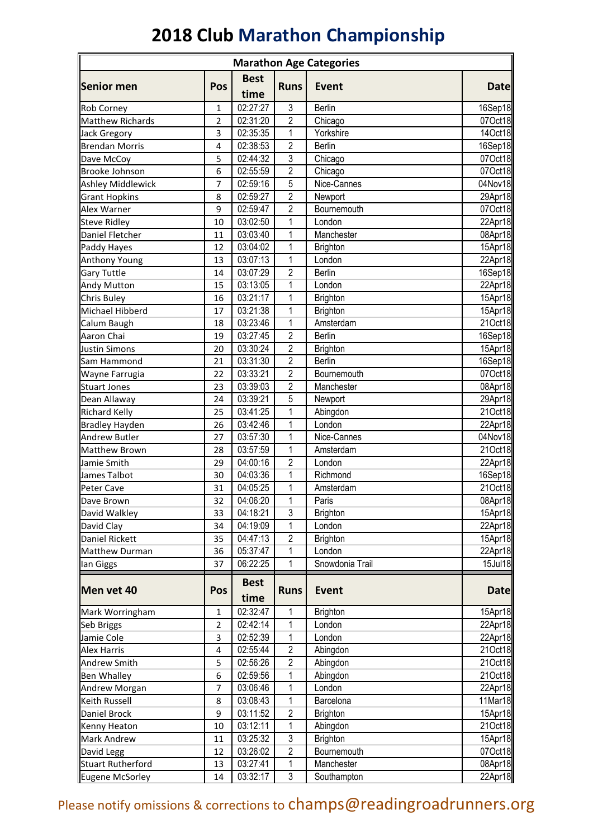## **2018 Club Marathon Championship**

| <b>Marathon Age Categories</b>          |                         |                      |                         |                           |                    |
|-----------------------------------------|-------------------------|----------------------|-------------------------|---------------------------|--------------------|
|                                         |                         | <b>Best</b>          |                         |                           |                    |
| Senior men                              | Pos                     | time                 | <b>Runs</b>             | Event                     | <b>Date</b>        |
| <b>Rob Corney</b>                       | 1                       | 02:27:27             | $\mathfrak{Z}$          | Berlin                    | 16Sep18            |
| Matthew Richards                        | $\overline{\mathbf{c}}$ | 02:31:20             | $\overline{\mathbf{c}}$ | Chicago                   | 07Oct18            |
| <b>Jack Gregory</b>                     | 3                       | 02:35:35             | 1                       | Yorkshire                 | 14Oct18            |
| <b>Brendan Morris</b>                   | $\overline{4}$          | 02:38:53             | $\overline{2}$          | <b>Berlin</b>             | 16Sep18            |
| Dave McCoy                              | 5                       | 02:44:32             | 3                       | Chicago                   | 07Oct18            |
| <b>Brooke Johnson</b>                   | 6                       | 02:55:59             | $\overline{2}$          | Chicago                   | 07Oct18            |
| <b>Ashley Middlewick</b>                | 7                       | 02:59:16             | 5                       | Nice-Cannes               | 04Nov18            |
| <b>Grant Hopkins</b>                    | 8                       | 02:59:27             | $\overline{2}$          | Newport                   | 29Apr18            |
| <b>Alex Warner</b>                      | 9                       | 02:59:47             | 2                       | Bournemouth               | 07Oct18            |
| <b>Steve Ridley</b>                     | 10                      | 03:02:50             | $\mathbf{1}$            | London                    | 22Apr18            |
| Daniel Fletcher                         | 11                      | 03:03:40             | $\mathbf 1$             | Manchester                | 08Apr18            |
| Paddy Hayes                             | 12                      | 03:04:02             | 1                       | <b>Brighton</b>           | 15Apr18            |
| <b>Anthony Young</b>                    | 13                      | 03:07:13             | 1                       | London                    | 22Apr18            |
| <b>Gary Tuttle</b>                      | 14                      | 03:07:29             | $\overline{2}$          | <b>Berlin</b>             | 16Sep18            |
| <b>Andy Mutton</b>                      | 15                      | 03:13:05             | $\mathbf 1$             | London                    | 22Apr18            |
| <b>Chris Buley</b>                      | 16                      | 03:21:17             | $\mathbf 1$             | <b>Brighton</b>           | 15Apr18            |
| Michael Hibberd                         | 17                      | 03:21:38             | 1                       | <b>Brighton</b>           | 15Apr18            |
| Calum Baugh                             | 18                      | 03:23:46             | $\mathbf 1$             | Amsterdam                 | 21Oct18            |
| Aaron Chai                              | 19                      | 03:27:45             | $\overline{2}$          | <b>Berlin</b>             | $16$ Sep18         |
| <b>Justin Simons</b>                    | 20                      | 03:30:24             | $\overline{2}$          | Brighton                  | 15Apr18            |
| Sam Hammond                             | 21                      | 03:31:30             | $\overline{2}$          | <b>Berlin</b>             | 16Sep18            |
| Wayne Farrugia                          | 22                      | 03:33:21             | $\overline{2}$          | Bournemouth               | 07Oct18            |
| <b>Stuart Jones</b>                     | 23                      | 03:39:03             | $\overline{2}$          | Manchester                | 08Apr18            |
| Dean Allaway                            | 24                      | 03:39:21             | 5                       | Newport                   | 29Apr18            |
| <b>Richard Kelly</b>                    | 25                      | 03:41:25             | 1                       | Abingdon                  | 21Oct18            |
| <b>Bradley Hayden</b>                   | 26                      | 03:42:46             | $\mathbf{1}$            | London                    | 22Apr18            |
| <b>Andrew Butler</b>                    | 27                      | 03:57:30             | 1                       | Nice-Cannes               | 04Nov18            |
| <b>Matthew Brown</b>                    | 28                      | 03:57:59             | 1                       | Amsterdam                 | 21Oct18            |
| Jamie Smith                             | 29                      | 04:00:16             | $\overline{c}$          | London                    | 22Apr18            |
| James Talbot                            | 30                      | 04:03:36             | 1                       | Richmond                  | 16Sep18            |
| Peter Cave                              | 31                      | 04:05:25             | 1                       | Amsterdam                 | 21Oct18            |
| Dave Brown                              | 32                      | 04:06:20             | 1                       | Paris                     | 08Apr18            |
| David Walkley                           | 33                      | 04:18:21             | 3                       | <b>Brighton</b>           | 15Apr18            |
| David Clay                              | 34                      | 04:19:09             | 1<br>$\sqrt{2}$         | London                    | 22Apr18<br>15Apr18 |
| Daniel Rickett<br><b>Matthew Durman</b> | 35<br>36                | 04:47:13<br>05:37:47 |                         | <b>Brighton</b><br>London | 22Apr18            |
|                                         | 37                      | 06:22:25             | 1<br>1                  | Snowdonia Trail           | 15Jul18            |
| lan Giggs                               |                         |                      |                         |                           |                    |
| Men vet 40                              |                         | <b>Best</b>          |                         | <b>Event</b>              |                    |
|                                         | Pos                     | time                 | <b>Runs</b>             |                           | <b>Date</b>        |
| Mark Worringham                         | $\mathbf{1}$            | 02:32:47             | 1                       | <b>Brighton</b>           | 15Apr18            |
| Seb Briggs                              | $\mathbf 2$             | 02:42:14             | 1                       | London                    | 22Apr18            |
| Jamie Cole                              | 3                       | 02:52:39             | 1                       | London                    | 22Apr18            |
| <b>Alex Harris</b>                      | 4                       | 02:55:44             | $\overline{2}$          | Abingdon                  | 21Oct18            |
| <b>Andrew Smith</b>                     | 5                       | 02:56:26             | $\overline{2}$          | Abingdon                  | 21Oct18            |
| <b>Ben Whalley</b>                      | 6                       | 02:59:56             | $\mathbf{1}$            | Abingdon                  | 21Oct18            |
| Andrew Morgan                           | 7                       | 03:06:46             | 1                       | London                    | 22Apr18            |
| Keith Russell                           | 8                       | 03:08:43             | 1                       | Barcelona                 | 11Mar18            |
| Daniel Brock                            | 9                       | 03:11:52             | $\overline{c}$          | <b>Brighton</b>           | 15Apr18            |
| Kenny Heaton                            | 10                      | 03:12:11             | 1                       | Abingdon                  | 21Oct18            |
| <b>Mark Andrew</b>                      | 11                      | 03:25:32             | 3                       | <b>Brighton</b>           | 15Apr18            |
| David Legg                              | 12                      | 03:26:02             | $\overline{2}$          | Bournemouth               | 07Oct18            |
| <b>Stuart Rutherford</b>                | 13                      | 03:27:41             | 1                       | Manchester                | 08Apr18            |
| Eugene McSorley                         | 14                      | 03:32:17             | 3                       | Southampton               | 22Apr18            |

Please notify omissions & corrections to champs@readingroadrunners.org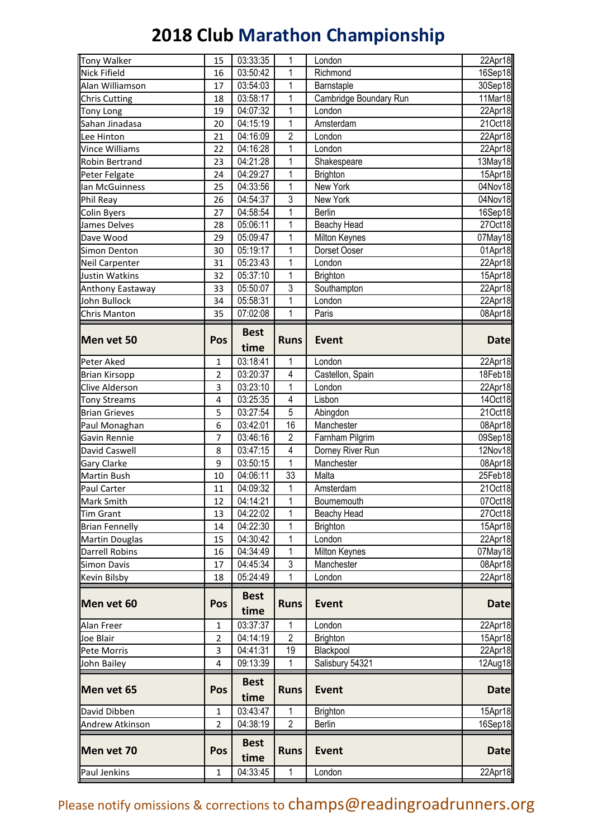## **2018 Club Marathon Championship**

| Tony Walker            | 15             | 03:33:35            | 1              | London                 | 22Apr18     |
|------------------------|----------------|---------------------|----------------|------------------------|-------------|
| <b>Nick Fifield</b>    | 16             | 03:50:42            | 1              | Richmond               | 16Sep18     |
| Alan Williamson        | 17             | 03:54:03            | 1              | Barnstaple             | 30Sep18     |
| Chris Cutting          | 18             | 03:58:17            | 1              | Cambridge Boundary Run | 11Mar18     |
| <b>Tony Long</b>       | 19             | 04:07:32            | $\mathbf{1}$   | London                 | 22Apr18     |
| Sahan Jinadasa         | 20             | 04:15:19            | 1              | Amsterdam              | 21Oct18     |
| Lee Hinton             | 21             | 04:16:09            | $\overline{2}$ | London                 | 22Apr18     |
| Vince Williams         | 22             | 04:16:28            | $\mathbf 1$    | London                 | 22Apr18     |
| <b>Robin Bertrand</b>  | 23             | 04:21:28            | $\mathbf 1$    | Shakespeare            | 13May18     |
| Peter Felgate          | 24             | 04:29:27            | 1              | <b>Brighton</b>        | 15Apr18     |
| lan McGuinness         | 25             | 04:33:56            | $\mathbf 1$    | New York               | 04Nov18     |
| Phil Reay              | 26             | 04:54:37            | 3              | New York               | 04Nov18     |
| <b>Colin Byers</b>     | 27             | 04:58:54            | 1              | <b>Berlin</b>          | 16Sep18     |
| James Delves           | 28             | 05:06:11            | $\mathbf{1}$   | Beachy Head            | 27Oct18     |
| Dave Wood              | 29             | 05:09:47            | $\mathbf{1}$   | Milton Keynes          | 07May18     |
| <b>Simon Denton</b>    | 30             | 05:19:17            | $\mathbf{1}$   | Dorset Ooser           | 01Apr18     |
| Neil Carpenter         | 31             | 05:23:43            | $\mathbf{1}$   | London                 | 22Apr18     |
| Justin Watkins         | 32             | 05:37:10            | 1              | <b>Brighton</b>        | 15Apr18     |
| Anthony Eastaway       | 33             | 05:50:07            | 3              | Southampton            | 22Apr18     |
| John Bullock           | 34             | 05:58:31            | $\mathbf{1}$   | London                 | 22Apr18     |
| Chris Manton           | 35             | 07:02:08            | 1              | Paris                  | 08Apr18     |
| Men vet 50             | Pos            | <b>Best</b><br>time | <b>Runs</b>    | <b>Event</b>           | <b>Date</b> |
| Peter Aked             | $\mathbf{1}$   | 03:18:41            | 1              | London                 | 22Apr18     |
| <b>Brian Kirsopp</b>   | 2              | 03:20:37            | 4              | Castellon, Spain       | 18Feb18     |
| <b>Clive Alderson</b>  | 3              | 03:23:10            | $\mathbf{1}$   | London                 | 22Apr18     |
| <b>Tony Streams</b>    | 4              | 03:25:35            | 4              | Lisbon                 | 14Oct18     |
| <b>Brian Grieves</b>   | 5              | 03:27:54            | 5              | Abingdon               | 21Oct18     |
| Paul Monaghan          | 6              | 03:42:01            | 16             | Manchester             | 08Apr18     |
| Gavin Rennie           | 7              | 03:46:16            | $\overline{2}$ | Farnham Pilgrim        | 09Sep18     |
| David Caswell          | 8              | 03:47:15            | 4              | Dorney River Run       | 12Nov18     |
| <b>Gary Clarke</b>     | 9              | 03:50:15            | $\mathbf{1}$   | Manchester             | 08Apr18     |
| <b>Martin Bush</b>     | 10             | 04:06:11            | 33             | Malta                  | 25Feb18     |
| Paul Carter            | 11             | 04:09:32            | 1              | Amsterdam              | 21Oct18     |
| Mark Smith             | 12             | 04:14:21            | 1              | Bournemouth            | 07Oct18     |
| <b>Tim Grant</b>       | 13             | 04:22:02            | 1              | Beachy Head            | 27Oct18     |
| <b>Brian Fennelly</b>  | 14             | 04:22:30            | 1              | <b>Brighton</b>        | 15Apr18     |
| <b>Martin Douglas</b>  | 15             | 04:30:42            | 1              | London                 | 22Apr18     |
| Darrell Robins         | 16             | 04:34:49            | 1              | Milton Keynes          | 07May18     |
| Simon Davis            | 17             | 04:45:34            | 3              | Manchester             | 08Apr18     |
| Kevin Bilsby           | 18             | 05:24:49            | 1              | London                 | 22Apr18     |
| Men vet 60             | Pos            | <b>Best</b><br>time | <b>Runs</b>    | <b>Event</b>           | <b>Date</b> |
| Alan Freer             | 1              | 03:37:37            | 1              | London                 | 22Apr18     |
| Joe Blair              | 2              | 04:14:19            | $\overline{2}$ | <b>Brighton</b>        | 15Apr18     |
| Pete Morris            | 3              | 04:41:31            | 19             | Blackpool              | 22Apr18     |
| John Bailey            | 4              | 09:13:39            | 1              | Salisbury 54321        | 12Aug18     |
| Men vet 65             | Pos            | <b>Best</b><br>time | <b>Runs</b>    | <b>Event</b>           | <b>Date</b> |
| David Dibben           | 1              | 03:43:47            | 1              | <b>Brighton</b>        | 15Apr18     |
| <b>Andrew Atkinson</b> | $\overline{2}$ | 04:38:19            | $\overline{2}$ | <b>Berlin</b>          | 16Sep18     |
| Men vet 70             | <b>Pos</b>     | <b>Best</b><br>time | <b>Runs</b>    | <b>Event</b>           | <b>Date</b> |
| Paul Jenkins           | 1              | 04:33:45            | 1              | London                 | 22Apr18     |

Please notify omissions & corrections to champs@readingroadrunners.org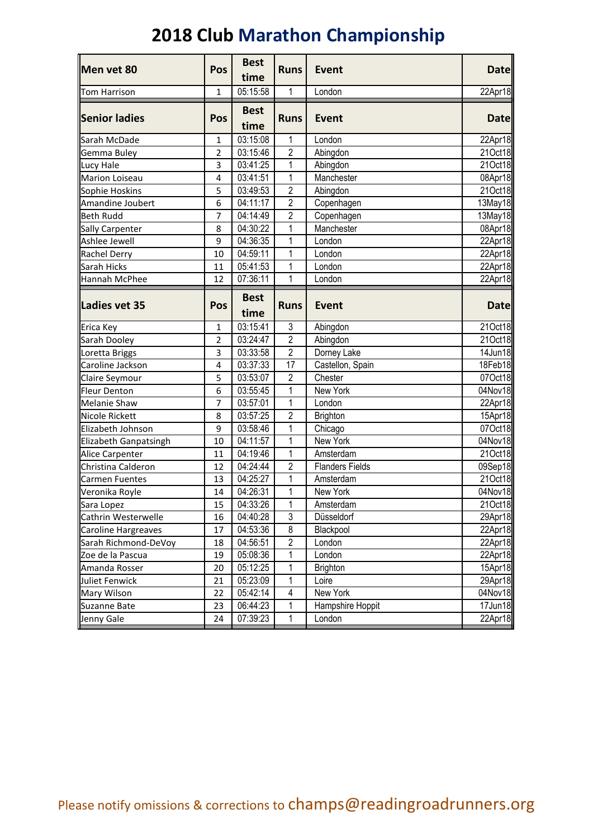## **2018 Club Marathon Championship**

| Pos                     | <b>Best</b>       | <b>Runs</b>      | <b>Event</b>                                                        | <b>Date</b>                                          |
|-------------------------|-------------------|------------------|---------------------------------------------------------------------|------------------------------------------------------|
|                         |                   |                  |                                                                     |                                                      |
| 1                       |                   |                  |                                                                     | 22Apr18                                              |
|                         | <b>Best</b>       |                  |                                                                     |                                                      |
|                         | time              |                  |                                                                     | <b>Date</b>                                          |
| 1                       | 03:15:08          | $\mathbf{1}$     | London                                                              | 22Apr18                                              |
| $\overline{\mathbf{c}}$ | 03:15:46          | $\overline{2}$   | Abingdon                                                            | 21Oct18                                              |
| 3                       | 03:41:25          | $\mathbf{1}$     | Abingdon                                                            | 21Oct18                                              |
| 4                       | 03:41:51          | 1                | Manchester                                                          | 08Apr18                                              |
| 5                       | 03:49:53          |                  | Abingdon                                                            | 21Oct18                                              |
| 6                       | 04:11:17          | $\sqrt{2}$       | Copenhagen                                                          | 13May18                                              |
| 7                       | 04:14:49          | $\overline{2}$   |                                                                     | 13May18                                              |
| 8                       | 04:30:22          | 1                | Manchester                                                          | 08Apr18                                              |
| 9                       | 04:36:35          | $\mathbf{1}$     | London                                                              | 22Apr18                                              |
| 10                      | 04:59:11          | $\mathbf{1}$     | London                                                              | 22Apr18                                              |
| 11                      | 05:41:53          | $\mathbf{1}$     | London                                                              | 22Apr18                                              |
| 12                      | 07:36:11          | 1                | London                                                              | 22Apr18                                              |
|                         | <b>Best</b>       |                  |                                                                     |                                                      |
|                         | time              |                  |                                                                     | <b>Date</b>                                          |
| 1                       | 03:15:41          | 3                | Abingdon                                                            | 21Oct18                                              |
| 2                       | 03:24:47          |                  | Abingdon                                                            | 21Oct18                                              |
| 3                       | 03:33:58          | $\overline{2}$   | Dorney Lake                                                         | 14Jun18                                              |
| 4                       | 03:37:33          | 17               | Castellon, Spain                                                    | 18Feb18                                              |
| 5                       | 03:53:07          | $\overline{c}$   | Chester                                                             | 07Oct18                                              |
| 6                       | 03:55:45          | $\mathbf{1}$     | New York                                                            | 04Nov18                                              |
| 7                       | 03:57:01          | $\mathbf{1}$     | London                                                              | 22Apr18                                              |
| 8                       | 03:57:25          | $\overline{2}$   | Brighton                                                            | 15Apr18                                              |
| 9                       | 03:58:46          | 1                | Chicago                                                             | 07Oct18                                              |
| 10                      | 04:11:57          | $\mathbf{1}$     | New York                                                            | 04Nov18                                              |
| 11                      | 04:19:46          | 1                | Amsterdam                                                           | 21Oct18                                              |
| 12                      | 04:24:44          | $\overline{2}$   | <b>Flanders Fields</b>                                              | 09Sep18                                              |
| 13                      | 04:25:27          | 1                | Amsterdam                                                           | 21Oct18                                              |
| 14                      | 04:26:31          | $\mathbf{1}$     | New York                                                            | 04Nov18                                              |
| 15                      | 04:33:26          | 1                | Amsterdam                                                           | 21Oct18                                              |
| 16                      | 04:40:28          | 3                | Düsseldorf                                                          | 29Apr18                                              |
| 17                      | 04:53:36          | 8                | Blackpool                                                           | 22Apr18                                              |
| 18                      | 04:56:51          | $\sqrt{2}$       | London                                                              | 22Apr18                                              |
| 19                      | 05:08:36          | 1                | London                                                              | 22Apr18                                              |
| 20                      | 05:12:25          | 1                | <b>Brighton</b>                                                     | 15Apr18                                              |
| 21                      | 05:23:09          | 1                | Loire                                                               | 29Apr18                                              |
| 22                      | 05:42:14          | 4                | New York                                                            | 04Nov18                                              |
| 23                      | 06:44:23          | $\mathbf 1$      | Hampshire Hoppit                                                    | 17Jun18                                              |
| 24                      | 07:39:23          | 1                | London                                                              | 22Apr18                                              |
|                         | <b>Pos</b><br>Pos | time<br>05:15:58 | 1<br><b>Runs</b><br>$\overline{2}$<br><b>Runs</b><br>$\overline{2}$ | London<br><b>Event</b><br>Copenhagen<br><b>Event</b> |